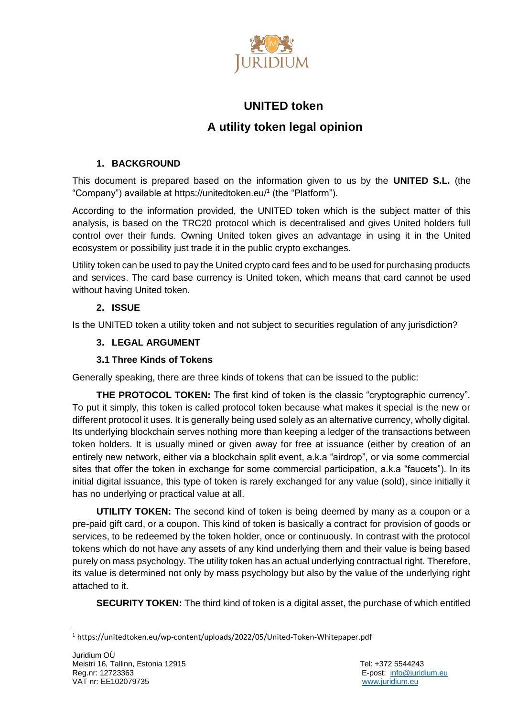

# **UNITED token A utility token legal opinion**

# **1. BACKGROUND**

This document is prepared based on the information given to us by the **UNITED S.L.** (the "Company") available at https://unitedtoken.eu/ 1 (the "Platform").

According to the information provided, the UNITED token which is the subject matter of this analysis, is based on the TRC20 protocol which is decentralised and gives United holders full control over their funds. Owning United token gives an advantage in using it in the United ecosystem or possibility just trade it in the public crypto exchanges.

Utility token can be used to pay the United crypto card fees and to be used for purchasing products and services. The card base currency is United token, which means that card cannot be used without having United token.

# **2. ISSUE**

Is the UNITED token a utility token and not subject to securities regulation of any jurisdiction?

# **3. LEGAL ARGUMENT**

# **3.1 Three Kinds of Tokens**

Generally speaking, there are three kinds of tokens that can be issued to the public:

**THE PROTOCOL TOKEN:** The first kind of token is the classic "cryptographic currency". To put it simply, this token is called protocol token because what makes it special is the new or different protocol it uses. It is generally being used solely as an alternative currency, wholly digital. Its underlying blockchain serves nothing more than keeping a ledger of the transactions between token holders. It is usually mined or given away for free at issuance (either by creation of an entirely new network, either via a blockchain split event, a.k.a "airdrop", or via some commercial sites that offer the token in exchange for some commercial participation, a.k.a "faucets"). In its initial digital issuance, this type of token is rarely exchanged for any value (sold), since initially it has no underlying or practical value at all.

**UTILITY TOKEN:** The second kind of token is being deemed by many as a coupon or a pre-paid gift card, or a coupon. This kind of token is basically a contract for provision of goods or services, to be redeemed by the token holder, once or continuously. In contrast with the protocol tokens which do not have any assets of any kind underlying them and their value is being based purely on mass psychology. The utility token has an actual underlying contractual right. Therefore, its value is determined not only by mass psychology but also by the value of the underlying right attached to it.

**SECURITY TOKEN:** The third kind of token is a digital asset, the purchase of which entitled

<sup>1</sup> https://unitedtoken.eu/wp-content/uploads/2022/05/United-Token-Whitepaper.pdf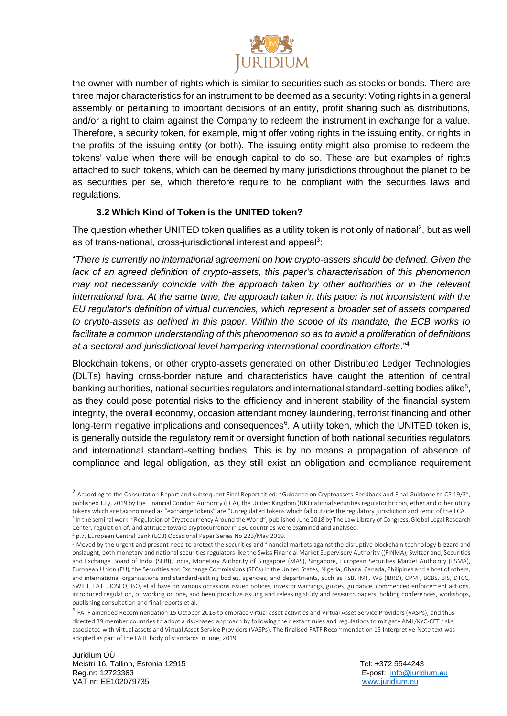

the owner with number of rights which is similar to securities such as stocks or bonds. There are three major characteristics for an instrument to be deemed as a security: Voting rights in a general assembly or pertaining to important decisions of an entity, profit sharing such as distributions, and/or a right to claim against the Company to redeem the instrument in exchange for a value. Therefore, a security token, for example, might offer voting rights in the issuing entity, or rights in the profits of the issuing entity (or both). The issuing entity might also promise to redeem the tokens' value when there will be enough capital to do so. These are but examples of rights attached to such tokens, which can be deemed by many jurisdictions throughout the planet to be as securities per se, which therefore require to be compliant with the securities laws and regulations.

## **3.2 Which Kind of Token is the UNITED token?**

The question whether UNITED token qualifies as a utility token is not only of national<sup>2</sup>, but as well as of trans-national, cross-jurisdictional interest and appeal<sup>3</sup>:

"*There is currently no international agreement on how crypto-assets should be defined. Given the lack of an agreed definition of crypto-assets, this paper's characterisation of this phenomenon may not necessarily coincide with the approach taken by other authorities or in the relevant international fora. At the same time, the approach taken in this paper is not inconsistent with the EU regulator's definition of virtual currencies, which represent a broader set of assets compared to crypto-assets as defined in this paper. Within the scope of its mandate, the ECB works to facilitate a common understanding of this phenomenon so as to avoid a proliferation of definitions at a sectoral and jurisdictional level hampering international coordination efforts*."<sup>4</sup>

Blockchain tokens, or other crypto-assets generated on other Distributed Ledger Technologies (DLTs) having cross-border nature and characteristics have caught the attention of central banking authorities, national securities regulators and international standard-setting bodies alike<sup>5</sup>, as they could pose potential risks to the efficiency and inherent stability of the financial system integrity, the overall economy, occasion attendant money laundering, terrorist financing and other long-term negative implications and consequences<sup>6</sup>. A utility token, which the UNITED token is, is generally outside the regulatory remit or oversight function of both national securities regulators and international standard-setting bodies. This is by no means a propagation of absence of compliance and legal obligation, as they still exist an obligation and compliance requirement

<sup>&</sup>lt;sup>2</sup> According to the Consultation Report and subsequent Final Report titled: "Guidance on Cryptoassets Feedback and Final Guidance to CP 19/3", published July, 2019 by the Financial Conduct Authority (FCA), the United Kingdom (UK) national securities regulator bitcoin, ether and other utility tokens which are taxonomised as "exchange tokens" are "Unregulated tokens which fall outside the regulatory jurisdiction and remit of the FCA. 3 In the seminal work: "Regulation of Cryptocurrency Around the World", published June 2018 by The Law Library of Congress, Global Legal Research Center, regulation of, and attitude toward cryptocurrency in 130 countries were examined and analysed.

<sup>4</sup> p.7, European Central Bank (ECB) Occasional Paper Series No 223/May 2019.

<sup>5</sup> Moved by the urgent and present need to protect the securities and financial markets against the disruptive blockchain technology blizzard and onslaught, both monetary and national securities regulators like the Swiss Financial Market Supervisory Authority ((FINMA), Switzerland, Securities and Exchange Board of India (SEBI), India, Monetary Authority of Singapore (MAS), Singapore, European Securities Market Autho rity (ESMA), European Union (EU), the Securities and Exchange Commissions (SECs) in the United States, Nigeria, Ghana, Canada, Philipines and a host of others, and international organisations and standard-setting bodies, agencies, and departments, such as FSB, IMF, WB (IBRD), CPMI, BCBS, BIS, DTCC, SWIFT, FATF, IOSCO, ISO, et al have on various occasions issued notices, investor warnings, guides, guidance, commenced enforcement actions, introduced regulation, or working on one, and been proactive issuing and releasing study and research papers, holding conferences, workshops, publishing consultation and final reports et al.

<sup>&</sup>lt;sup>6</sup> FATF amended Recommendation 15 October 2018 to embrace virtual asset activities and Virtual Asset Service Providers (VASPs), and thus directed 39 member countries to adopt a risk-based approach by following their extant rules and regulations to mitigate AML/KYC-CFT risks associated with virtual assets and Virtual Asset Service Providers (VASPs). The finalised FATF Recommendation 15 Interpretive Note text was adopted as part of the FATF body of standards in June, 2019.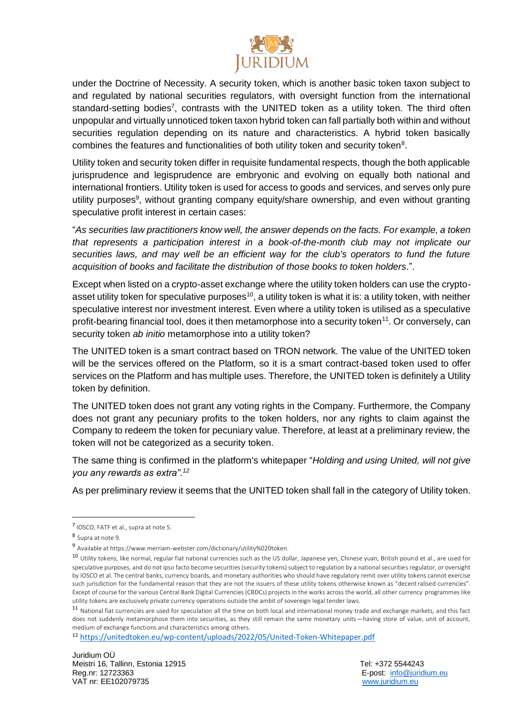

under the Doctrine of Necessity. A security token, which is another basic token taxon subject to and regulated by national securities regulators, with oversight function from the international standard-setting bodies<sup>7</sup>, contrasts with the UNITED token as a utility token. The third often unpopular and virtually unnoticed token taxon hybrid token can fall partially both within and without securities regulation depending on its nature and characteristics. A hybrid token basically combines the features and functionalities of both utility token and security token $8$ .

Utility token and security token differ in requisite fundamental respects, though the both applicable jurisprudence and legisprudence are embryonic and evolving on equally both national and international frontiers. Utility token is used for access to goods and services, and serves only pure utility purposes<sup>9</sup>, without granting company equity/share ownership, and even without granting speculative profit interest in certain cases:

"*As securities law practitioners know well, the answer depends on the facts. For example, a token that represents a participation interest in a book-of-the-month club may not implicate our securities laws, and may well be an efficient way for the club's operators to fund the future acquisition of books and facilitate the distribution of those books to token holders*.".

Except when listed on a crypto-asset exchange where the utility token holders can use the cryptoasset utility token for speculative purposes<sup>10</sup>, a utility token is what it is: a utility token, with neither speculative interest nor investment interest. Even where a utility token is utilised as a speculative profit-bearing financial tool, does it then metamorphose into a security token<sup>11</sup>. Or conversely, can security token *ab initio* metamorphose into a utility token?

The UNITED token is a smart contract based on TRON network. The value of the UNITED token will be the services offered on the Platform, so it is a smart contract-based token used to offer services on the Platform and has multiple uses. Therefore, the UNITED token is definitely a Utility token by definition.

The UNITED token does not grant any voting rights in the Company. Furthermore, the Company does not grant any pecuniary profits to the token holders, nor any rights to claim against the Company to redeem the token for pecuniary value. Therefore, at least at a preliminary review, the token will not be categorized as a security token.

The same thing is confirmed in the platform's whitepaper "*Holding and using United, will not give you any rewards as extra". 12*

As per preliminary review it seems that the UNITED token shall fall in the category of Utility token.

<sup>12</sup> <https://unitedtoken.eu/wp-content/uploads/2022/05/United-Token-Whitepaper.pdf>

<sup>7</sup> IOSCO, FATF et al., supra at note 5.

<sup>8</sup> Supra at note 9.

<sup>9</sup> Available at https://www.merriam-webster.com/dictionary/utility%020token.

<sup>10</sup> Utility tokens, like normal, regular fiat national currencies such as the US dollar, Japanese yen, Chinese yuan, British pound et al., are used for speculative purposes, and do not ipso facto become securities (security tokens) subject to regulation by a national securities regulator, or oversight by IOSCO et al. The central banks, currency boards, and monetary authorities who should have regulatory remit over utility tokens cannot exercise such jurisdiction for the fundamental reason that they are not the issuers of these utility tokens otherwise known as "decentralised currencies". Except of course for the various Central Bank Digital Currencies (CBDCs) projects in the works across the world, all other currency programmes like utility tokens are exclusively private currency operations outside the ambit of sovereign legal tender laws.

<sup>&</sup>lt;sup>11</sup> National fiat currencies are used for speculation all the time on both local and international money trade and exchange markets, and this fact does not suddenly metamorphose them into securities, as they still remain the same monetary units—having store of value, unit of account, medium of exchange functions and characteristics among others.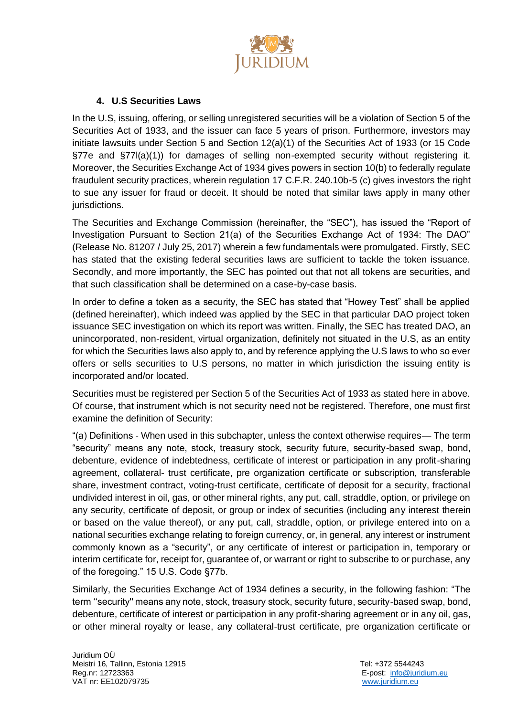

## **4. U.S Securities Laws**

In the U.S, issuing, offering, or selling unregistered securities will be a violation of Section 5 of the Securities Act of 1933, and the issuer can face 5 years of prison. Furthermore, investors may initiate lawsuits under Section 5 and Section 12(a)(1) of the Securities Act of 1933 (or 15 Code §77e and §77l(a)(1)) for damages of selling non-exempted security without registering it. Moreover, the Securities Exchange Act of 1934 gives powers in section 10(b) to federally regulate fraudulent security practices, wherein regulation 17 C.F.R. 240.10b-5 (c) gives investors the right to sue any issuer for fraud or deceit. It should be noted that similar laws apply in many other jurisdictions.

The Securities and Exchange Commission (hereinafter, the "SEC"), has issued the "Report of Investigation Pursuant to Section 21(a) of the Securities Exchange Act of 1934: The DAO" (Release No. 81207 / July 25, 2017) wherein a few fundamentals were promulgated. Firstly, SEC has stated that the existing federal securities laws are sufficient to tackle the token issuance. Secondly, and more importantly, the SEC has pointed out that not all tokens are securities, and that such classification shall be determined on a case-by-case basis.

In order to define a token as a security, the SEC has stated that "Howey Test" shall be applied (defined hereinafter), which indeed was applied by the SEC in that particular DAO project token issuance SEC investigation on which its report was written. Finally, the SEC has treated DAO, an unincorporated, non-resident, virtual organization, definitely not situated in the U.S, as an entity for which the Securities laws also apply to, and by reference applying the U.S laws to who so ever offers or sells securities to U.S persons, no matter in which jurisdiction the issuing entity is incorporated and/or located.

Securities must be registered per Section 5 of the Securities Act of 1933 as stated here in above. Of course, that instrument which is not security need not be registered. Therefore, one must first examine the definition of Security:

"(a) Definitions - When used in this subchapter, unless the context otherwise requires— The term "security" means any note, stock, treasury stock, security future, security-based swap, bond, debenture, evidence of indebtedness, certificate of interest or participation in any profit-sharing agreement, collateral- trust certificate, pre organization certificate or subscription, transferable share, investment contract, voting-trust certificate, certificate of deposit for a security, fractional undivided interest in oil, gas, or other mineral rights, any put, call, straddle, option, or privilege on any security, certificate of deposit, or group or index of securities (including any interest therein or based on the value thereof), or any put, call, straddle, option, or privilege entered into on a national securities exchange relating to foreign currency, or, in general, any interest or instrument commonly known as a "security", or any certificate of interest or participation in, temporary or interim certificate for, receipt for, guarantee of, or warrant or right to subscribe to or purchase, any of the foregoing." 15 U.S. Code §77b.

Similarly, the Securities Exchange Act of 1934 defines a security, in the following fashion: "The term ''security'' means any note, stock, treasury stock, security future, security-based swap, bond, debenture, certificate of interest or participation in any profit-sharing agreement or in any oil, gas, or other mineral royalty or lease, any collateral-trust certificate, pre organization certificate or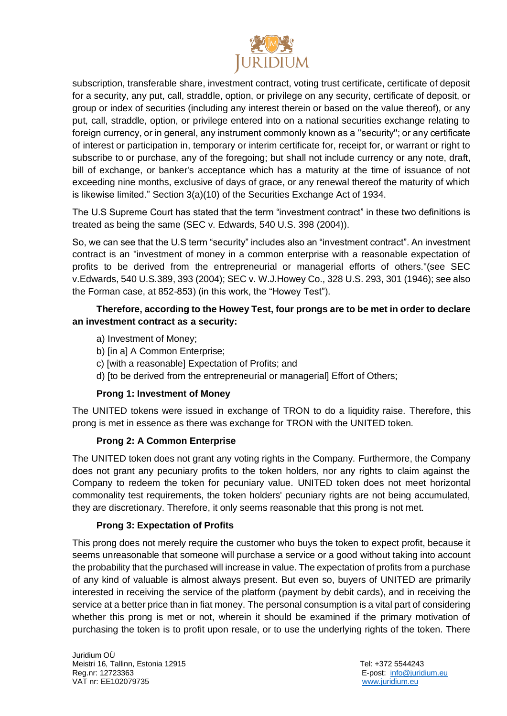

subscription, transferable share, investment contract, voting trust certificate, certificate of deposit for a security, any put, call, straddle, option, or privilege on any security, certificate of deposit, or group or index of securities (including any interest therein or based on the value thereof), or any put, call, straddle, option, or privilege entered into on a national securities exchange relating to foreign currency, or in general, any instrument commonly known as a ''security''; or any certificate of interest or participation in, temporary or interim certificate for, receipt for, or warrant or right to subscribe to or purchase, any of the foregoing; but shall not include currency or any note, draft, bill of exchange, or banker's acceptance which has a maturity at the time of issuance of not exceeding nine months, exclusive of days of grace, or any renewal thereof the maturity of which is likewise limited." Section 3(a)(10) of the Securities Exchange Act of 1934.

The U.S Supreme Court has stated that the term "investment contract" in these two definitions is treated as being the same (SEC v. Edwards, 540 U.S. 398 (2004)).

So, we can see that the U.S term "security" includes also an "investment contract". An investment contract is an "investment of money in a common enterprise with a reasonable expectation of profits to be derived from the entrepreneurial or managerial efforts of others."(see SEC v.Edwards, 540 U.S.389, 393 (2004); SEC v. W.J.Howey Co., 328 U.S. 293, 301 (1946); see also the Forman case, at 852-853) (in this work, the "Howey Test").

## **Therefore, according to the Howey Test, four prongs are to be met in order to declare an investment contract as a security:**

- a) Investment of Money;
- b) [in a] A Common Enterprise;
- c) [with a reasonable] Expectation of Profits; and
- d) [to be derived from the entrepreneurial or managerial] Effort of Others;

#### **Prong 1: Investment of Money**

The UNITED tokens were issued in exchange of TRON to do a liquidity raise. Therefore, this prong is met in essence as there was exchange for TRON with the UNITED token.

## **Prong 2: A Common Enterprise**

The UNITED token does not grant any voting rights in the Company. Furthermore, the Company does not grant any pecuniary profits to the token holders, nor any rights to claim against the Company to redeem the token for pecuniary value. UNITED token does not meet horizontal commonality test requirements, the token holders' pecuniary rights are not being accumulated, they are discretionary. Therefore, it only seems reasonable that this prong is not met.

## **Prong 3: Expectation of Profits**

This prong does not merely require the customer who buys the token to expect profit, because it seems unreasonable that someone will purchase a service or a good without taking into account the probability that the purchased will increase in value. The expectation of profits from a purchase of any kind of valuable is almost always present. But even so, buyers of UNITED are primarily interested in receiving the service of the platform (payment by debit cards), and in receiving the service at a better price than in fiat money. The personal consumption is a vital part of considering whether this prong is met or not, wherein it should be examined if the primary motivation of purchasing the token is to profit upon resale, or to use the underlying rights of the token. There

Juridium OÜ Meistri 16, Tallinn, Estonia 12915 **Tel: +372 5544243** Reg.nr: 12723363 E-post: [info@juridium.eu](mailto:info@juridium.eu)  VAT nr: EE102079735 [www.juridium.eu](http://www.juridium.eu/)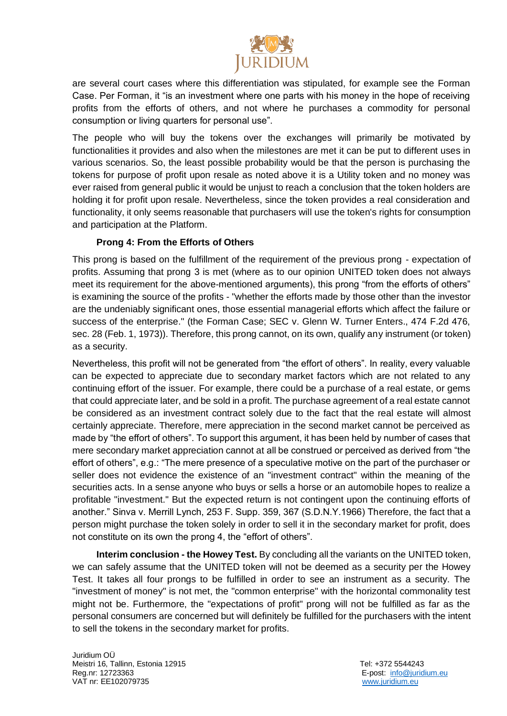

are several court cases where this differentiation was stipulated, for example see the Forman Case. Per Forman, it "is an investment where one parts with his money in the hope of receiving profits from the efforts of others, and not where he purchases a commodity for personal consumption or living quarters for personal use".

The people who will buy the tokens over the exchanges will primarily be motivated by functionalities it provides and also when the milestones are met it can be put to different uses in various scenarios. So, the least possible probability would be that the person is purchasing the tokens for purpose of profit upon resale as noted above it is a Utility token and no money was ever raised from general public it would be unjust to reach a conclusion that the token holders are holding it for profit upon resale. Nevertheless, since the token provides a real consideration and functionality, it only seems reasonable that purchasers will use the token's rights for consumption and participation at the Platform.

## **Prong 4: From the Efforts of Others**

This prong is based on the fulfillment of the requirement of the previous prong - expectation of profits. Assuming that prong 3 is met (where as to our opinion UNITED token does not always meet its requirement for the above-mentioned arguments), this prong "from the efforts of others" is examining the source of the profits - "whether the efforts made by those other than the investor are the undeniably significant ones, those essential managerial efforts which affect the failure or success of the enterprise." (the Forman Case; SEC v. Glenn W. Turner Enters., 474 F.2d 476, sec. 28 (Feb. 1, 1973)). Therefore, this prong cannot, on its own, qualify any instrument (or token) as a security.

Nevertheless, this profit will not be generated from "the effort of others". In reality, every valuable can be expected to appreciate due to secondary market factors which are not related to any continuing effort of the issuer. For example, there could be a purchase of a real estate, or gems that could appreciate later, and be sold in a profit. The purchase agreement of a real estate cannot be considered as an investment contract solely due to the fact that the real estate will almost certainly appreciate. Therefore, mere appreciation in the second market cannot be perceived as made by "the effort of others". To support this argument, it has been held by number of cases that mere secondary market appreciation cannot at all be construed or perceived as derived from "the effort of others", e.g.: "The mere presence of a speculative motive on the part of the purchaser or seller does not evidence the existence of an "investment contract" within the meaning of the securities acts. In a sense anyone who buys or sells a horse or an automobile hopes to realize a profitable "investment." But the expected return is not contingent upon the continuing efforts of another." Sinva v. Merrill Lynch, 253 F. Supp. 359, 367 (S.D.N.Y.1966) Therefore, the fact that a person might purchase the token solely in order to sell it in the secondary market for profit, does not constitute on its own the prong 4, the "effort of others".

**Interim conclusion - the Howey Test.** By concluding all the variants on the UNITED token, we can safely assume that the UNITED token will not be deemed as a security per the Howey Test. It takes all four prongs to be fulfilled in order to see an instrument as a security. The "investment of money" is not met, the "common enterprise" with the horizontal commonality test might not be. Furthermore, the "expectations of profit" prong will not be fulfilled as far as the personal consumers are concerned but will definitely be fulfilled for the purchasers with the intent to sell the tokens in the secondary market for profits.

Juridium OÜ Meistri 16, Tallinn, Estonia 12915 Tel: +372 5544243 Reg.nr: 12723363 E-post: [info@juridium.eu](mailto:info@juridium.eu)  VAT nr: EE102079735 [www.juridium.eu](http://www.juridium.eu/)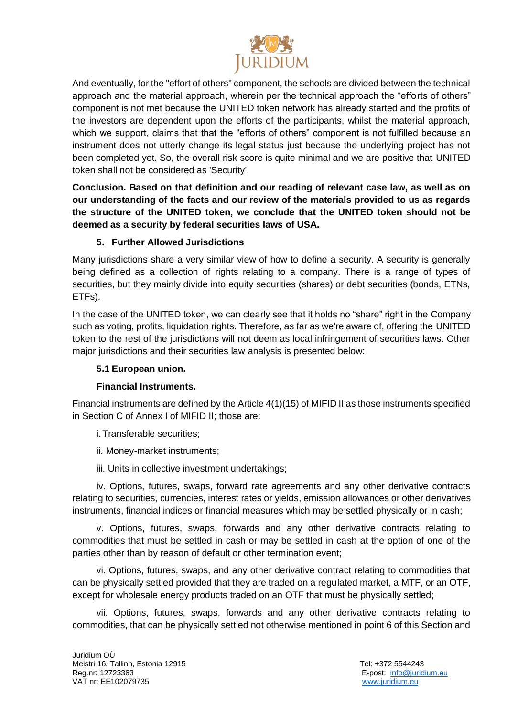

And eventually, for the "effort of others" component, the schools are divided between the technical approach and the material approach, wherein per the technical approach the "efforts of others" component is not met because the UNITED token network has already started and the profits of the investors are dependent upon the efforts of the participants, whilst the material approach, which we support, claims that that the "efforts of others" component is not fulfilled because an instrument does not utterly change its legal status just because the underlying project has not been completed yet. So, the overall risk score is quite minimal and we are positive that UNITED token shall not be considered as 'Security'.

**Conclusion. Based on that definition and our reading of relevant case law, as well as on our understanding of the facts and our review of the materials provided to us as regards the structure of the UNITED token, we conclude that the UNITED token should not be deemed as a security by federal securities laws of USA.** 

## **5. Further Allowed Jurisdictions**

Many jurisdictions share a very similar view of how to define a security. A security is generally being defined as a collection of rights relating to a company. There is a range of types of securities, but they mainly divide into equity securities (shares) or debt securities (bonds, ETNs, ETFs).

In the case of the UNITED token, we can clearly see that it holds no "share" right in the Company such as voting, profits, liquidation rights. Therefore, as far as we're aware of, offering the UNITED token to the rest of the jurisdictions will not deem as local infringement of securities laws. Other major jurisdictions and their securities law analysis is presented below:

## **5.1 European union.**

## **Financial Instruments.**

Financial instruments are defined by the Article 4(1)(15) of MIFID II as those instruments specified in Section C of Annex I of MIFID II; those are:

i.Transferable securities;

- ii. Money-market instruments;
- iii. Units in collective investment undertakings;

iv. Options, futures, swaps, forward rate agreements and any other derivative contracts relating to securities, currencies, interest rates or yields, emission allowances or other derivatives instruments, financial indices or financial measures which may be settled physically or in cash;

v. Options, futures, swaps, forwards and any other derivative contracts relating to commodities that must be settled in cash or may be settled in cash at the option of one of the parties other than by reason of default or other termination event;

vi. Options, futures, swaps, and any other derivative contract relating to commodities that can be physically settled provided that they are traded on a regulated market, a MTF, or an OTF, except for wholesale energy products traded on an OTF that must be physically settled;

vii. Options, futures, swaps, forwards and any other derivative contracts relating to commodities, that can be physically settled not otherwise mentioned in point 6 of this Section and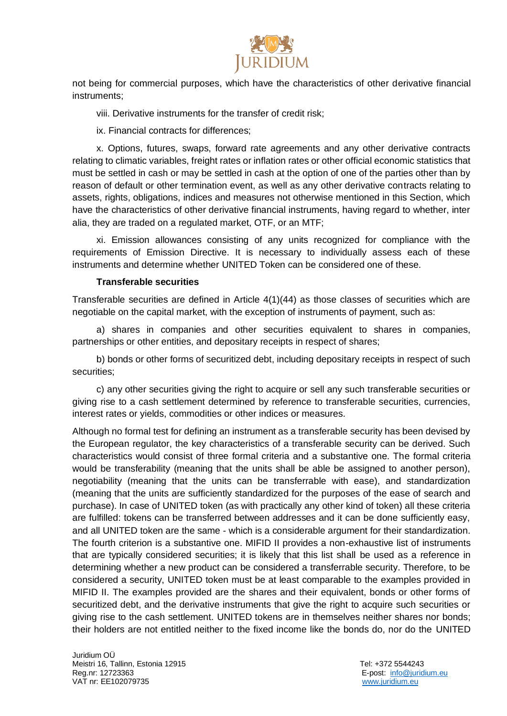

not being for commercial purposes, which have the characteristics of other derivative financial instruments;

viii. Derivative instruments for the transfer of credit risk;

ix. Financial contracts for differences;

x. Options, futures, swaps, forward rate agreements and any other derivative contracts relating to climatic variables, freight rates or inflation rates or other official economic statistics that must be settled in cash or may be settled in cash at the option of one of the parties other than by reason of default or other termination event, as well as any other derivative contracts relating to assets, rights, obligations, indices and measures not otherwise mentioned in this Section, which have the characteristics of other derivative financial instruments, having regard to whether, inter alia, they are traded on a regulated market, OTF, or an MTF;

xi. Emission allowances consisting of any units recognized for compliance with the requirements of Emission Directive. It is necessary to individually assess each of these instruments and determine whether UNITED Token can be considered one of these.

#### **Transferable securities**

Transferable securities are defined in Article 4(1)(44) as those classes of securities which are negotiable on the capital market, with the exception of instruments of payment, such as:

a) shares in companies and other securities equivalent to shares in companies, partnerships or other entities, and depositary receipts in respect of shares;

b) bonds or other forms of securitized debt, including depositary receipts in respect of such securities;

c) any other securities giving the right to acquire or sell any such transferable securities or giving rise to a cash settlement determined by reference to transferable securities, currencies, interest rates or yields, commodities or other indices or measures.

Although no formal test for defining an instrument as a transferable security has been devised by the European regulator, the key characteristics of a transferable security can be derived. Such characteristics would consist of three formal criteria and a substantive one. The formal criteria would be transferability (meaning that the units shall be able be assigned to another person), negotiability (meaning that the units can be transferrable with ease), and standardization (meaning that the units are sufficiently standardized for the purposes of the ease of search and purchase). In case of UNITED token (as with practically any other kind of token) all these criteria are fulfilled: tokens can be transferred between addresses and it can be done sufficiently easy, and all UNITED token are the same - which is a considerable argument for their standardization. The fourth criterion is a substantive one. MIFID II provides a non-exhaustive list of instruments that are typically considered securities; it is likely that this list shall be used as a reference in determining whether a new product can be considered a transferrable security. Therefore, to be considered a security, UNITED token must be at least comparable to the examples provided in MIFID II. The examples provided are the shares and their equivalent, bonds or other forms of securitized debt, and the derivative instruments that give the right to acquire such securities or giving rise to the cash settlement. UNITED tokens are in themselves neither shares nor bonds; their holders are not entitled neither to the fixed income like the bonds do, nor do the UNITED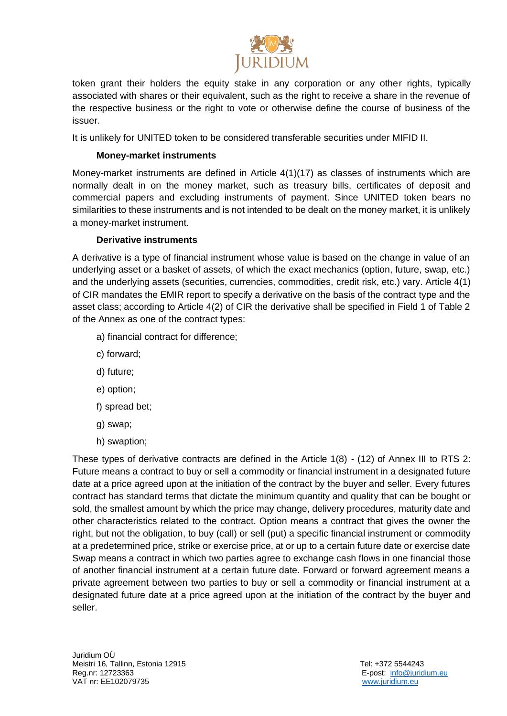

token grant their holders the equity stake in any corporation or any other rights, typically associated with shares or their equivalent, such as the right to receive a share in the revenue of the respective business or the right to vote or otherwise define the course of business of the issuer.

It is unlikely for UNITED token to be considered transferable securities under MIFID II.

#### **Money-market instruments**

Money-market instruments are defined in Article 4(1)(17) as classes of instruments which are normally dealt in on the money market, such as treasury bills, certificates of deposit and commercial papers and excluding instruments of payment. Since UNITED token bears no similarities to these instruments and is not intended to be dealt on the money market, it is unlikely a money-market instrument.

## **Derivative instruments**

A derivative is a type of financial instrument whose value is based on the change in value of an underlying asset or a basket of assets, of which the exact mechanics (option, future, swap, etc.) and the underlying assets (securities, currencies, commodities, credit risk, etc.) vary. Article 4(1) of CIR mandates the EMIR report to specify a derivative on the basis of the contract type and the asset class; according to Article 4(2) of CIR the derivative shall be specified in Field 1 of Table 2 of the Annex as one of the contract types:

- a) financial contract for difference;
- c) forward;
- d) future;
- e) option;
- f) spread bet;
- g) swap;
- h) swaption;

These types of derivative contracts are defined in the Article 1(8) - (12) of Annex III to RTS 2: Future means a contract to buy or sell a commodity or financial instrument in a designated future date at a price agreed upon at the initiation of the contract by the buyer and seller. Every futures contract has standard terms that dictate the minimum quantity and quality that can be bought or sold, the smallest amount by which the price may change, delivery procedures, maturity date and other characteristics related to the contract. Option means a contract that gives the owner the right, but not the obligation, to buy (call) or sell (put) a specific financial instrument or commodity at a predetermined price, strike or exercise price, at or up to a certain future date or exercise date Swap means a contract in which two parties agree to exchange cash flows in one financial those of another financial instrument at a certain future date. Forward or forward agreement means a private agreement between two parties to buy or sell a commodity or financial instrument at a designated future date at a price agreed upon at the initiation of the contract by the buyer and seller.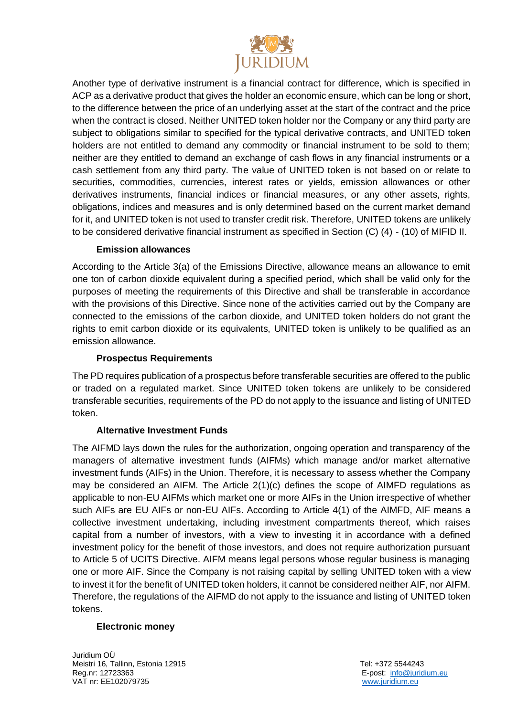

Another type of derivative instrument is a financial contract for difference, which is specified in ACP as a derivative product that gives the holder an economic ensure, which can be long or short, to the difference between the price of an underlying asset at the start of the contract and the price when the contract is closed. Neither UNITED token holder nor the Company or any third party are subject to obligations similar to specified for the typical derivative contracts, and UNITED token holders are not entitled to demand any commodity or financial instrument to be sold to them; neither are they entitled to demand an exchange of cash flows in any financial instruments or a cash settlement from any third party. The value of UNITED token is not based on or relate to securities, commodities, currencies, interest rates or yields, emission allowances or other derivatives instruments, financial indices or financial measures, or any other assets, rights, obligations, indices and measures and is only determined based on the current market demand for it, and UNITED token is not used to transfer credit risk. Therefore, UNITED tokens are unlikely to be considered derivative financial instrument as specified in Section (C) (4) - (10) of MIFID II.

## **Emission allowances**

According to the Article 3(a) of the Emissions Directive, allowance means an allowance to emit one ton of carbon dioxide equivalent during a specified period, which shall be valid only for the purposes of meeting the requirements of this Directive and shall be transferable in accordance with the provisions of this Directive. Since none of the activities carried out by the Company are connected to the emissions of the carbon dioxide, and UNITED token holders do not grant the rights to emit carbon dioxide or its equivalents, UNITED token is unlikely to be qualified as an emission allowance.

#### **Prospectus Requirements**

The PD requires publication of a prospectus before transferable securities are offered to the public or traded on a regulated market. Since UNITED token tokens are unlikely to be considered transferable securities, requirements of the PD do not apply to the issuance and listing of UNITED token.

## **Alternative Investment Funds**

The AIFMD lays down the rules for the authorization, ongoing operation and transparency of the managers of alternative investment funds (AIFMs) which manage and/or market alternative investment funds (AIFs) in the Union. Therefore, it is necessary to assess whether the Company may be considered an AIFM. The Article 2(1)(c) defines the scope of AIMFD regulations as applicable to non-EU AIFMs which market one or more AIFs in the Union irrespective of whether such AIFs are EU AIFs or non-EU AIFs. According to Article 4(1) of the AIMFD, AIF means a collective investment undertaking, including investment compartments thereof, which raises capital from a number of investors, with a view to investing it in accordance with a defined investment policy for the benefit of those investors, and does not require authorization pursuant to Article 5 of UCITS Directive. AIFM means legal persons whose regular business is managing one or more AIF. Since the Company is not raising capital by selling UNITED token with a view to invest it for the benefit of UNITED token holders, it cannot be considered neither AIF, nor AIFM. Therefore, the regulations of the AIFMD do not apply to the issuance and listing of UNITED token tokens.

#### **Electronic money**

Juridium OÜ Meistri 16, Tallinn, Estonia 12915 **Tel: +372 5544243** Reg.nr: 12723363 E-post: [info@juridium.eu](mailto:info@juridium.eu)  VAT nr: EE102079735 [www.juridium.eu](http://www.juridium.eu/)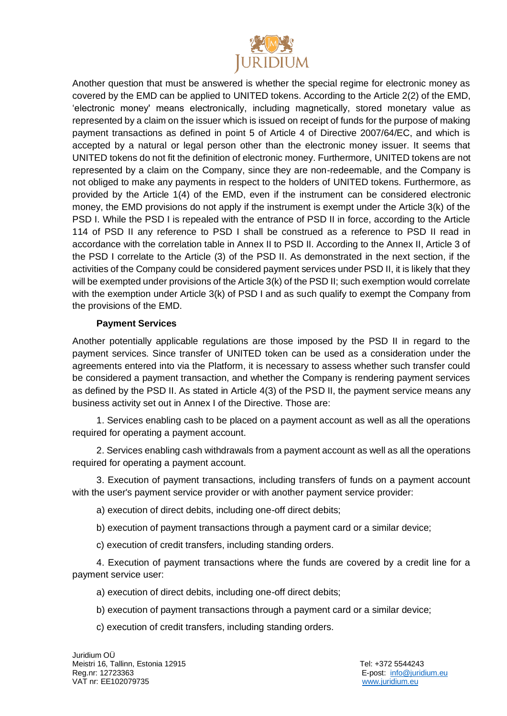

Another question that must be answered is whether the special regime for electronic money as covered by the EMD can be applied to UNITED tokens. According to the Article 2(2) of the EMD, 'electronic money' means electronically, including magnetically, stored monetary value as represented by a claim on the issuer which is issued on receipt of funds for the purpose of making payment transactions as defined in point 5 of Article 4 of Directive 2007/64/EC, and which is accepted by a natural or legal person other than the electronic money issuer. It seems that UNITED tokens do not fit the definition of electronic money. Furthermore, UNITED tokens are not represented by a claim on the Company, since they are non-redeemable, and the Company is not obliged to make any payments in respect to the holders of UNITED tokens. Furthermore, as provided by the Article 1(4) of the EMD, even if the instrument can be considered electronic money, the EMD provisions do not apply if the instrument is exempt under the Article 3(k) of the PSD I. While the PSD I is repealed with the entrance of PSD II in force, according to the Article 114 of PSD II any reference to PSD I shall be construed as a reference to PSD II read in accordance with the correlation table in Annex II to PSD II. According to the Annex II, Article 3 of the PSD I correlate to the Article (3) of the PSD II. As demonstrated in the next section, if the activities of the Company could be considered payment services under PSD II, it is likely that they will be exempted under provisions of the Article 3(k) of the PSD II; such exemption would correlate with the exemption under Article 3(k) of PSD I and as such qualify to exempt the Company from the provisions of the EMD.

## **Payment Services**

Another potentially applicable regulations are those imposed by the PSD II in regard to the payment services. Since transfer of UNITED token can be used as a consideration under the agreements entered into via the Platform, it is necessary to assess whether such transfer could be considered a payment transaction, and whether the Company is rendering payment services as defined by the PSD II. As stated in Article 4(3) of the PSD II, the payment service means any business activity set out in Annex I of the Directive. Those are:

1. Services enabling cash to be placed on a payment account as well as all the operations required for operating a payment account.

2. Services enabling cash withdrawals from a payment account as well as all the operations required for operating a payment account.

3. Execution of payment transactions, including transfers of funds on a payment account with the user's payment service provider or with another payment service provider:

a) execution of direct debits, including one-off direct debits;

b) execution of payment transactions through a payment card or a similar device;

c) execution of credit transfers, including standing orders.

4. Execution of payment transactions where the funds are covered by a credit line for a payment service user:

a) execution of direct debits, including one-off direct debits;

b) execution of payment transactions through a payment card or a similar device;

c) execution of credit transfers, including standing orders.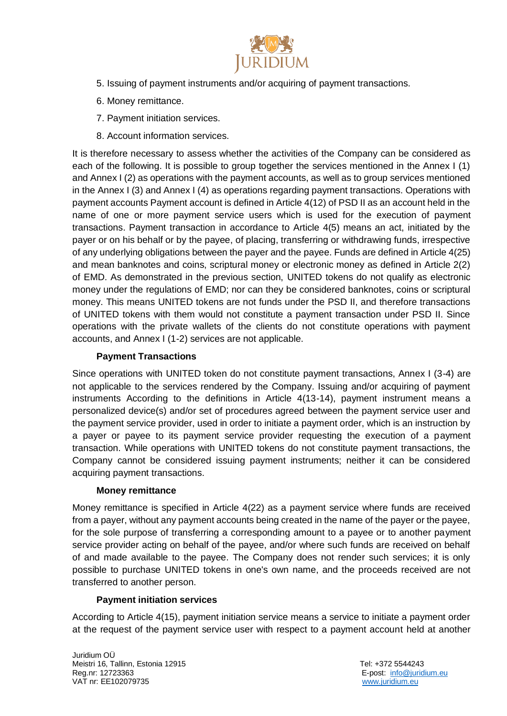

- 5. Issuing of payment instruments and/or acquiring of payment transactions.
- 6. Money remittance.
- 7. Payment initiation services.
- 8. Account information services.

It is therefore necessary to assess whether the activities of the Company can be considered as each of the following. It is possible to group together the services mentioned in the Annex I (1) and Annex I (2) as operations with the payment accounts, as well as to group services mentioned in the Annex I (3) and Annex I (4) as operations regarding payment transactions. Operations with payment accounts Payment account is defined in Article 4(12) of PSD II as an account held in the name of one or more payment service users which is used for the execution of payment transactions. Payment transaction in accordance to Article 4(5) means an act, initiated by the payer or on his behalf or by the payee, of placing, transferring or withdrawing funds, irrespective of any underlying obligations between the payer and the payee. Funds are defined in Article 4(25) and mean banknotes and coins, scriptural money or electronic money as defined in Article 2(2) of EMD. As demonstrated in the previous section, UNITED tokens do not qualify as electronic money under the regulations of EMD; nor can they be considered banknotes, coins or scriptural money. This means UNITED tokens are not funds under the PSD II, and therefore transactions of UNITED tokens with them would not constitute a payment transaction under PSD II. Since operations with the private wallets of the clients do not constitute operations with payment accounts, and Annex I (1-2) services are not applicable.

## **Payment Transactions**

Since operations with UNITED token do not constitute payment transactions, Annex I (3-4) are not applicable to the services rendered by the Company. Issuing and/or acquiring of payment instruments According to the definitions in Article 4(13-14), payment instrument means a personalized device(s) and/or set of procedures agreed between the payment service user and the payment service provider, used in order to initiate a payment order, which is an instruction by a payer or payee to its payment service provider requesting the execution of a payment transaction. While operations with UNITED tokens do not constitute payment transactions, the Company cannot be considered issuing payment instruments; neither it can be considered acquiring payment transactions.

#### **Money remittance**

Money remittance is specified in Article 4(22) as a payment service where funds are received from a payer, without any payment accounts being created in the name of the payer or the payee, for the sole purpose of transferring a corresponding amount to a payee or to another payment service provider acting on behalf of the payee, and/or where such funds are received on behalf of and made available to the payee. The Company does not render such services; it is only possible to purchase UNITED tokens in one's own name, and the proceeds received are not transferred to another person.

## **Payment initiation services**

According to Article 4(15), payment initiation service means a service to initiate a payment order at the request of the payment service user with respect to a payment account held at another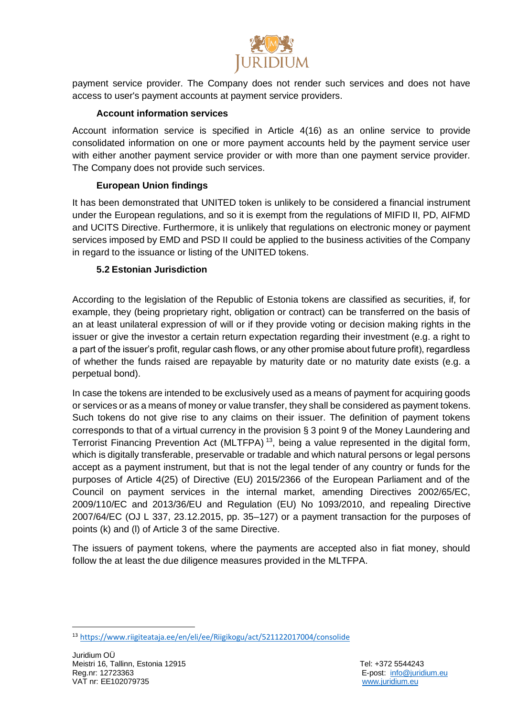

payment service provider. The Company does not render such services and does not have access to user's payment accounts at payment service providers.

# **Account information services**

Account information service is specified in Article 4(16) as an online service to provide consolidated information on one or more payment accounts held by the payment service user with either another payment service provider or with more than one payment service provider. The Company does not provide such services.

## **European Union findings**

It has been demonstrated that UNITED token is unlikely to be considered a financial instrument under the European regulations, and so it is exempt from the regulations of MIFID II, PD, AIFMD and UCITS Directive. Furthermore, it is unlikely that regulations on electronic money or payment services imposed by EMD and PSD II could be applied to the business activities of the Company in regard to the issuance or listing of the UNITED tokens.

## **5.2 Estonian Jurisdiction**

According to the legislation of the Republic of Estonia tokens are classified as securities, if, for example, they (being proprietary right, obligation or contract) can be transferred on the basis of an at least unilateral expression of will or if they provide voting or decision making rights in the issuer or give the investor a certain return expectation regarding their investment (e.g. a right to a part of the issuer's profit, regular cash flows, or any other promise about future profit), regardless of whether the funds raised are repayable by maturity date or no maturity date exists (e.g. a perpetual bond).

In case the tokens are intended to be exclusively used as a means of payment for acquiring goods or services or as a means of money or value transfer, they shall be considered as payment tokens. Such tokens do not give rise to any claims on their issuer. The definition of payment tokens corresponds to that of a virtual currency in the provision § 3 point 9 of the Money Laundering and Terrorist Financing Prevention Act (MLTFPA)<sup>13</sup>, being a value represented in the digital form, which is digitally transferable, preservable or tradable and which natural persons or legal persons accept as a payment instrument, but that is not the legal tender of any country or funds for the purposes of Article 4(25) of Directive (EU) 2015/2366 of the European Parliament and of the Council on payment services in the internal market, amending Directives 2002/65/EC, 2009/110/EC and 2013/36/EU and Regulation (EU) No 1093/2010, and repealing Directive 2007/64/EC (OJ L 337, 23.12.2015, pp. 35–127) or a payment transaction for the purposes of points (k) and (l) of Article 3 of the same Directive.

The issuers of payment tokens, where the payments are accepted also in fiat money, should follow the at least the due diligence measures provided in the MLTFPA.

<sup>13</sup> <https://www.riigiteataja.ee/en/eli/ee/Riigikogu/act/521122017004/consolide>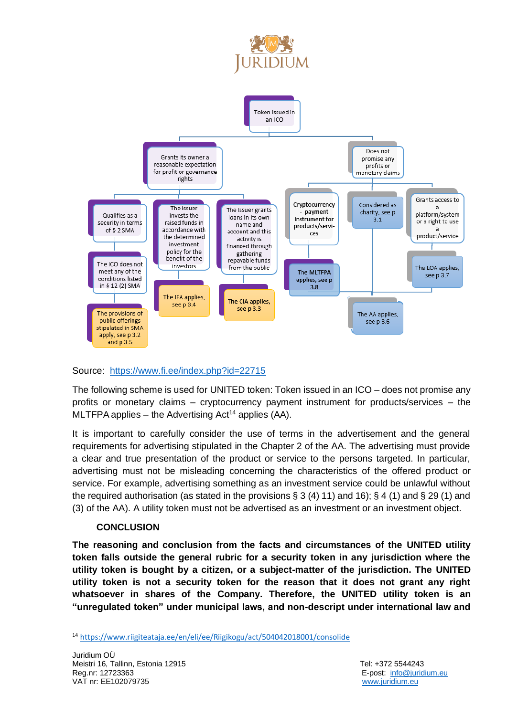



## Source: <https://www.fi.ee/index.php?id=22715>

The following scheme is used for UNITED token: Token issued in an ICO – does not promise any profits or monetary claims – cryptocurrency payment instrument for products/services – the MLTFPA applies – the Advertising Act<sup>14</sup> applies (AA).

It is important to carefully consider the use of terms in the advertisement and the general requirements for advertising stipulated in the Chapter 2 of the AA. The advertising must provide a clear and true presentation of the product or service to the persons targeted. In particular, advertising must not be misleading concerning the characteristics of the offered product or service. For example, advertising something as an investment service could be unlawful without the required authorisation (as stated in the provisions  $\S 3(4) 11$ ) and  $16$ ;  $\S 4(1)$  and  $\S 29(1)$  and (3) of the AA). A utility token must not be advertised as an investment or an investment object.

#### **CONCLUSION**

**The reasoning and conclusion from the facts and circumstances of the UNITED utility token falls outside the general rubric for a security token in any jurisdiction where the utility token is bought by a citizen, or a subject-matter of the jurisdiction. The UNITED utility token is not a security token for the reason that it does not grant any right whatsoever in shares of the Company. Therefore, the UNITED utility token is an "unregulated token" under municipal laws, and non-descript under international law and** 

<sup>14</sup> <https://www.riigiteataja.ee/en/eli/ee/Riigikogu/act/504042018001/consolide>